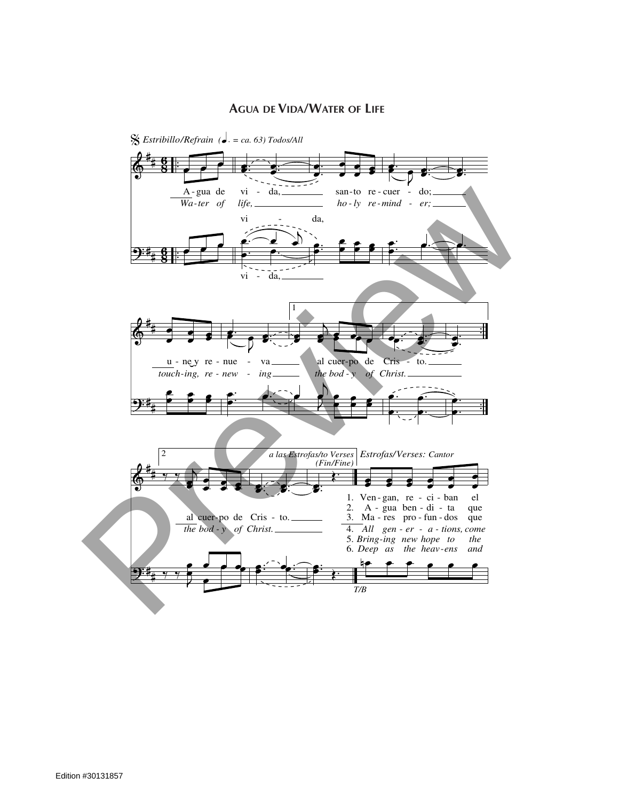## **AGUA DE VIDA/WATER OF LIFE**